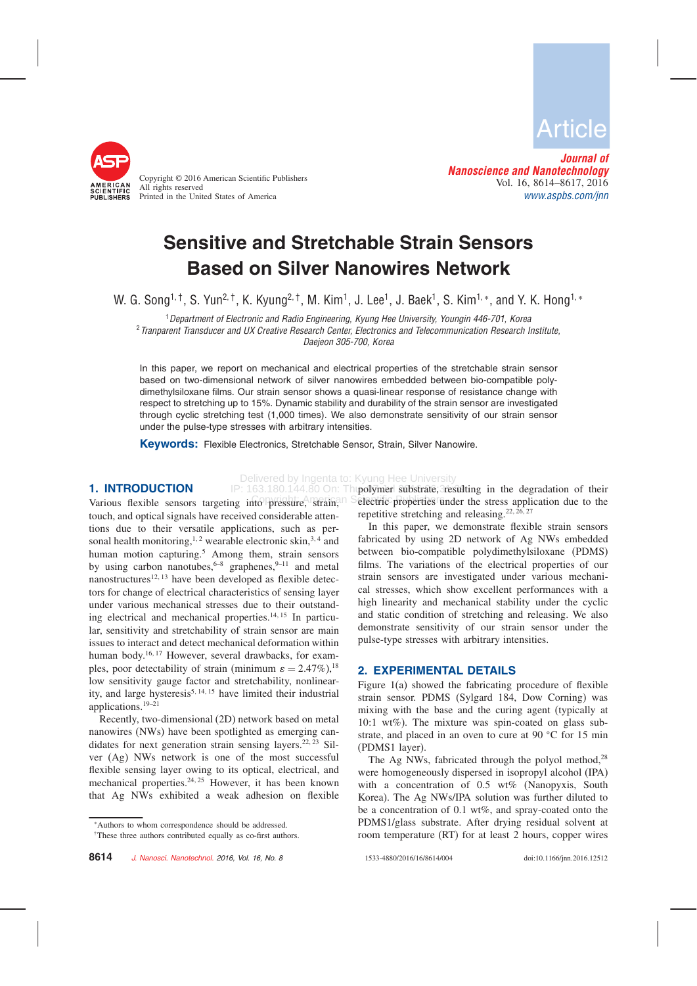

Copyright © 2016 American Scientific Publishers All rights reserved Printed in the United States of America

Article

Journal of Nanoscience and Nanotechnology Vol. 16, 8614–8617, 2016 www.aspbs.com/jnn

# Sensitive and Stretchable Strain Sensors Based on Silver Nanowires Network

W. G. Song<sup>1, †</sup>, S. Yun<sup>2, †</sup>, K. Kyung<sup>2, †</sup>, M. Kim<sup>1</sup>, J. Lee<sup>1</sup>, J. Baek<sup>1</sup>, S. Kim<sup>1,</sup>\*, and Y. K. Hong<sup>1,</sup>\*

<sup>1</sup> Department of Electronic and Radio Engineering, Kyung Hee University, Youngin 446-701, Korea <sup>2</sup> Tranparent Transducer and UX Creative Research Center, Electronics and Telecommunication Research Institute, Daejeon 305-700, Korea

In this paper, we report on mechanical and electrical properties of the stretchable strain sensor based on two-dimensional network of silver nanowires embedded between bio-compatible polydimethylsiloxane films. Our strain sensor shows a quasi-linear response of resistance change with respect to stretching up to 15%. Dynamic stability and durability of the strain sensor are investigated through cyclic stretching test (1,000 times). We also demonstrate sensitivity of our strain sensor under the pulse-type stresses with arbitrary intensities.

Delivered by Ingenta to: Kyung Hee University

Keywords: Flexible Electronics, Stretchable Sensor, Strain, Silver Nanowire.

IP: 163.180.144.80 On: Th

## 1. INTRODUCTION

Various flexible sensors targeting into pressure, strain, touch, and optical signals have received considerable attentions due to their versatile applications, such as personal health monitoring,<sup>1,2</sup> wearable electronic skin,<sup>3,4</sup> and human motion capturing.<sup>5</sup> Among them, strain sensors by using carbon nanotubes,  $6-8$  graphenes,  $9-11$  and metal nanostructures<sup>12, 13</sup> have been developed as flexible detectors for change of electrical characteristics of sensing layer under various mechanical stresses due to their outstanding electrical and mechanical properties.<sup>14, 15</sup> In particular, sensitivity and stretchability of strain sensor are main issues to interact and detect mechanical deformation within human body.<sup>16,17</sup> However, several drawbacks, for examples, poor detectability of strain (minimum  $\varepsilon = 2.47\%$ ),<sup>18</sup> low sensitivity gauge factor and stretchability, nonlinearity, and large hysteresis<sup>5, 14, 15</sup> have limited their industrial applications.19–21

Recently, two-dimensional (2D) network based on metal nanowires (NWs) have been spotlighted as emerging candidates for next generation strain sensing layers.<sup>22, 23</sup> Silver (Ag) NWs network is one of the most successful flexible sensing layer owing to its optical, electrical, and mechanical properties.<sup>24, 25</sup> However, it has been known that Ag NWs exhibited a weak adhesion on flexible

ato pressure, strain, Selectric properties under the stress application due to the polymer substrate, resulting in the degradation of their repetitive stretching and releasing.<sup>22, 26, 27</sup>

In this paper, we demonstrate flexible strain sensors fabricated by using 2D network of Ag NWs embedded between bio-compatible polydimethylsiloxane (PDMS) films. The variations of the electrical properties of our strain sensors are investigated under various mechanical stresses, which show excellent performances with a high linearity and mechanical stability under the cyclic and static condition of stretching and releasing. We also demonstrate sensitivity of our strain sensor under the pulse-type stresses with arbitrary intensities.

#### 2. EXPERIMENTAL DETAILS

Figure 1(a) showed the fabricating procedure of flexible strain sensor. PDMS (Sylgard 184, Dow Corning) was mixing with the base and the curing agent (typically at 10:1 wt%). The mixture was spin-coated on glass substrate, and placed in an oven to cure at 90  $^{\circ}$ C for 15 min (PDMS1 layer).

The Ag NWs, fabricated through the polyol method,  $28$ were homogeneously dispersed in isopropyl alcohol (IPA) with a concentration of 0.5 wt% (Nanopyxis, South Korea). The Ag NWs/IPA solution was further diluted to be a concentration of 0.1 wt%, and spray-coated onto the PDMS1/glass substrate. After drying residual solvent at room temperature (RT) for at least 2 hours, copper wires

<sup>∗</sup>Authors to whom correspondence should be addressed.

<sup>†</sup>These three authors contributed equally as co-first authors.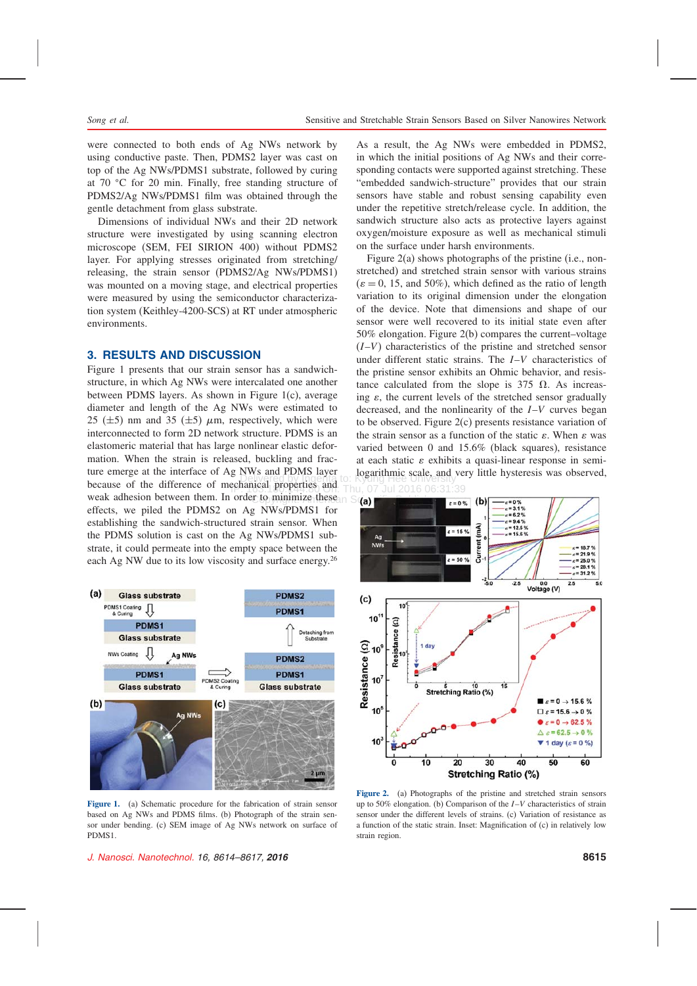were connected to both ends of Ag NWs network by using conductive paste. Then, PDMS2 layer was cast on top of the Ag NWs/PDMS1 substrate, followed by curing at 70 °C for 20 min. Finally, free standing structure of PDMS2/Ag NWs/PDMS1 film was obtained through the gentle detachment from glass substrate.

Dimensions of individual NWs and their 2D network structure were investigated by using scanning electron microscope (SEM, FEI SIRION 400) without PDMS2 layer. For applying stresses originated from stretching/ releasing, the strain sensor (PDMS2/Ag NWs/PDMS1) was mounted on a moving stage, and electrical properties were measured by using the semiconductor characterization system (Keithley-4200-SCS) at RT under atmospheric environments.

### 3. RESULTS AND DISCUSSION

Delivered by Ingenta to: Kyung Hee University because of the difference of mechanical properties and Thu, 07 Jul 2016 06:31:39 weak adhesion between them. In order to minimize these  $\Omega$  S(a) Figure 1 presents that our strain sensor has a sandwichstructure, in which Ag NWs were intercalated one another between PDMS layers. As shown in Figure 1(c), average diameter and length of the Ag NWs were estimated to 25 ( $\pm$ 5) nm and 35 ( $\pm$ 5)  $\mu$ m, respectively, which were interconnected to form 2D network structure. PDMS is an elastomeric material that has large nonlinear elastic deformation. When the strain is released, buckling and fracture emerge at the interface of Ag NWs and PDMS layer effects, we piled the PDMS2 on Ag NWs/PDMS1 for establishing the sandwich-structured strain sensor. When the PDMS solution is cast on the Ag NWs/PDMS1 substrate, it could permeate into the empty space between the each Ag NW due to its low viscosity and surface energy.<sup>26</sup>



Figure 1. (a) Schematic procedure for the fabrication of strain sensor based on Ag NWs and PDMS films. (b) Photograph of the strain sensor under bending. (c) SEM image of Ag NWs network on surface of PDMS1.

J. Nanosci. Nanotechnol. 16, 8614–8617, 2016 8615

As a result, the Ag NWs were embedded in PDMS2, in which the initial positions of Ag NWs and their corresponding contacts were supported against stretching. These "embedded sandwich-structure" provides that our strain sensors have stable and robust sensing capability even under the repetitive stretch/release cycle. In addition, the sandwich structure also acts as protective layers against oxygen/moisture exposure as well as mechanical stimuli on the surface under harsh environments.

Figure 2(a) shows photographs of the pristine (i.e., nonstretched) and stretched strain sensor with various strains  $(\varepsilon = 0, 15, \text{ and } 50\%)$ , which defined as the ratio of length variation to its original dimension under the elongation of the device. Note that dimensions and shape of our sensor were well recovered to its initial state even after 50% elongation. Figure 2(b) compares the current–voltage  $(I-V)$  characteristics of the pristine and stretched sensor under different static strains. The I–V characteristics of the pristine sensor exhibits an Ohmic behavior, and resistance calculated from the slope is 375  $\Omega$ . As increasing  $\varepsilon$ , the current levels of the stretched sensor gradually decreased, and the nonlinearity of the I–V curves began to be observed. Figure 2(c) presents resistance variation of the strain sensor as a function of the static  $\varepsilon$ . When  $\varepsilon$  was varied between 0 and 15.6% (black squares), resistance at each static  $\varepsilon$  exhibits a quasi-linear response in semilogarithmic scale, and very little hysteresis was observed,



Figure 2. (a) Photographs of the pristine and stretched strain sensors up to 50% elongation. (b) Comparison of the  $I-V$  characteristics of strain sensor under the different levels of strains. (c) Variation of resistance as a function of the static strain. Inset: Magnification of (c) in relatively low strain region.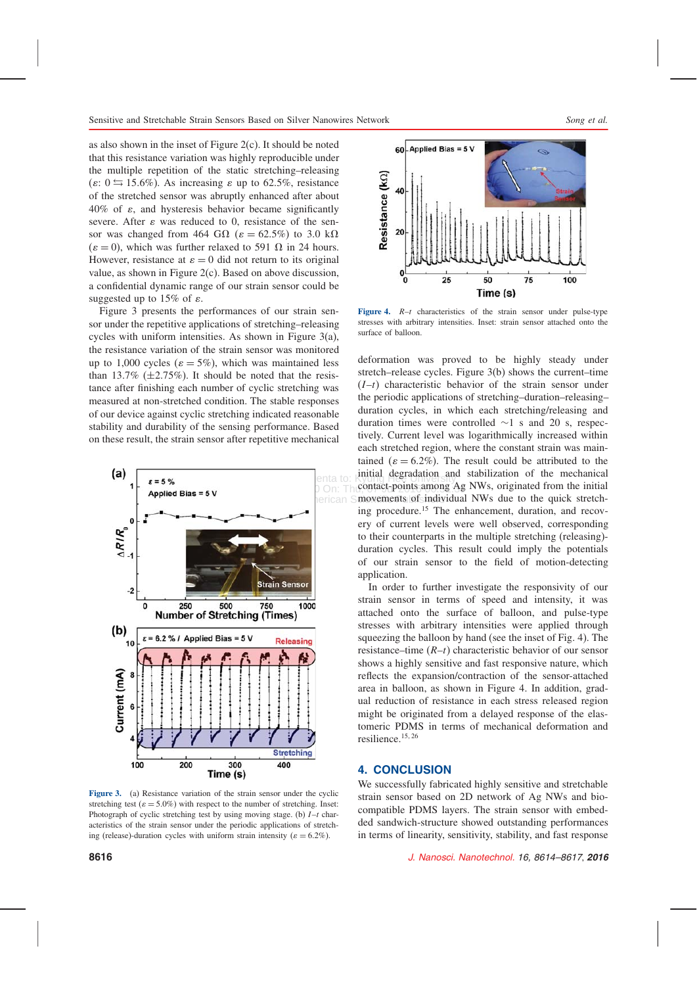as also shown in the inset of Figure 2(c). It should be noted that this resistance variation was highly reproducible under the multiple repetition of the static stretching–releasing  $(\varepsilon: 0 \leq 15.6\%)$ . As increasing  $\varepsilon$  up to 62.5%, resistance of the stretched sensor was abruptly enhanced after about  $40\%$  of  $\varepsilon$ , and hysteresis behavior became significantly severe. After  $\varepsilon$  was reduced to 0, resistance of the sensor was changed from 464 G $\Omega$  ( $\varepsilon = 62.5\%$ ) to 3.0 k $\Omega$  $(\varepsilon = 0)$ , which was further relaxed to 591  $\Omega$  in 24 hours. However, resistance at  $\varepsilon = 0$  did not return to its original value, as shown in Figure 2(c). Based on above discussion, a confidential dynamic range of our strain sensor could be suggested up to 15% of  $\varepsilon$ .

Figure 3 presents the performances of our strain sensor under the repetitive applications of stretching–releasing cycles with uniform intensities. As shown in Figure 3(a), the resistance variation of the strain sensor was monitored up to 1,000 cycles ( $\varepsilon = 5\%$ ), which was maintained less than 13.7%  $(\pm 2.75\%)$ . It should be noted that the resistance after finishing each number of cyclic stretching was measured at non-stretched condition. The stable responses of our device against cyclic stretching indicated reasonable stability and durability of the sensing performance. Based on these result, the strain sensor after repetitive mechanical



Figure 3. (a) Resistance variation of the strain sensor under the cyclic stretching test ( $\varepsilon = 5.0\%$ ) with respect to the number of stretching. Inset: Photograph of cyclic stretching test by using moving stage. (b)  $I-t$  characteristics of the strain sensor under the periodic applications of stretching (release)-duration cycles with uniform strain intensity ( $\varepsilon = 6.2\%$ ).



Figure 4.  $R-t$  characteristics of the strain sensor under pulse-type stresses with arbitrary intensities. Inset: strain sensor attached onto the surface of balloon.

 $\Box$   $\Box$   $\Box$   $\Box$  Thu,  $\Diamond$  ontact-points among Ag NWs, originated from the initial herican Smovements of individual NWs due to the quick stretchdeformation was proved to be highly steady under stretch–release cycles. Figure 3(b) shows the current–time  $(I-t)$  characteristic behavior of the strain sensor under the periodic applications of stretching–duration–releasing– duration cycles, in which each stretching/releasing and duration times were controlled ∼1 s and 20 s, respectively. Current level was logarithmically increased within each stretched region, where the constant strain was maintained ( $\varepsilon = 6.2\%$ ). The result could be attributed to the initial degradation and stabilization of the mechanical ing procedure.<sup>15</sup> The enhancement, duration, and recovery of current levels were well observed, corresponding to their counterparts in the multiple stretching (releasing) duration cycles. This result could imply the potentials of our strain sensor to the field of motion-detecting application.

> In order to further investigate the responsivity of our strain sensor in terms of speed and intensity, it was attached onto the surface of balloon, and pulse-type stresses with arbitrary intensities were applied through squeezing the balloon by hand (see the inset of Fig. 4). The resistance–time  $(R-t)$  characteristic behavior of our sensor shows a highly sensitive and fast responsive nature, which reflects the expansion/contraction of the sensor-attached area in balloon, as shown in Figure 4. In addition, gradual reduction of resistance in each stress released region might be originated from a delayed response of the elastomeric PDMS in terms of mechanical deformation and resilience.<sup>15</sup>- 26

#### 4. CONCLUSION

We successfully fabricated highly sensitive and stretchable strain sensor based on 2D network of Ag NWs and biocompatible PDMS layers. The strain sensor with embedded sandwich-structure showed outstanding performances in terms of linearity, sensitivity, stability, and fast response

8616 J. Nanosci. Nanotechnol. 16, 8614–8617, 2016